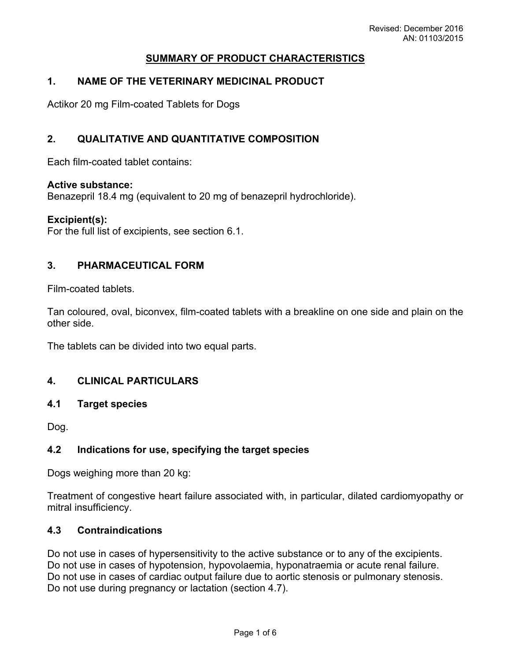# **SUMMARY OF PRODUCT CHARACTERISTICS**

# **1. NAME OF THE VETERINARY MEDICINAL PRODUCT**

Actikor 20 mg Film-coated Tablets for Dogs

## **2. QUALITATIVE AND QUANTITATIVE COMPOSITION**

Each film-coated tablet contains:

#### **Active substance:**

Benazepril 18.4 mg (equivalent to 20 mg of benazepril hydrochloride).

#### **Excipient(s):**

For the full list of excipients, see section 6.1.

#### **3. PHARMACEUTICAL FORM**

Film-coated tablets.

Tan coloured, oval, biconvex, film-coated tablets with a breakline on one side and plain on the other side.

The tablets can be divided into two equal parts.

### **4. CLINICAL PARTICULARS**

#### **4.1 Target species**

Dog.

### **4.2 Indications for use, specifying the target species**

Dogs weighing more than 20 kg:

Treatment of congestive heart failure associated with, in particular, dilated cardiomyopathy or mitral insufficiency.

#### **4.3 Contraindications**

Do not use in cases of hypersensitivity to the active substance or to any of the excipients. Do not use in cases of hypotension, hypovolaemia, hyponatraemia or acute renal failure. Do not use in cases of cardiac output failure due to aortic stenosis or pulmonary stenosis. Do not use during pregnancy or lactation (section 4.7).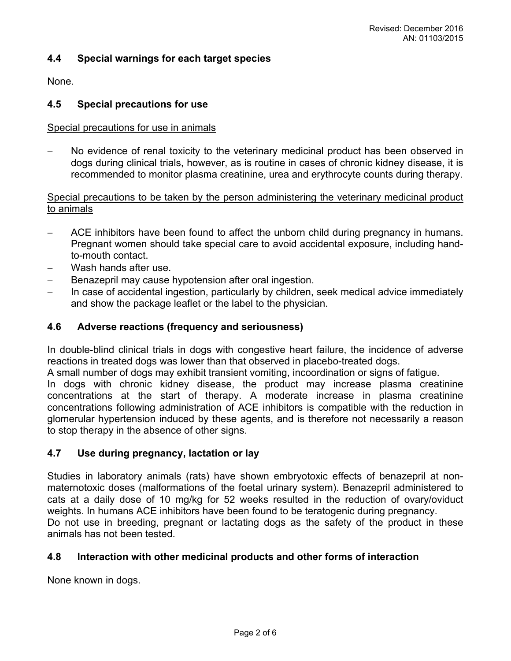### **4.4 Special warnings for each target species**

None.

#### **4.5 Special precautions for use**

#### Special precautions for use in animals

 No evidence of renal toxicity to the veterinary medicinal product has been observed in dogs during clinical trials, however, as is routine in cases of chronic kidney disease, it is recommended to monitor plasma creatinine, urea and erythrocyte counts during therapy.

#### Special precautions to be taken by the person administering the veterinary medicinal product to animals

- ACE inhibitors have been found to affect the unborn child during pregnancy in humans. Pregnant women should take special care to avoid accidental exposure, including handto-mouth contact.
- Wash hands after use.
- Benazepril may cause hypotension after oral ingestion.
- In case of accidental ingestion, particularly by children, seek medical advice immediately and show the package leaflet or the label to the physician.

#### **4.6 Adverse reactions (frequency and seriousness)**

In double-blind clinical trials in dogs with congestive heart failure, the incidence of adverse reactions in treated dogs was lower than that observed in placebo-treated dogs.

A small number of dogs may exhibit transient vomiting, incoordination or signs of fatigue.

In dogs with chronic kidney disease, the product may increase plasma creatinine concentrations at the start of therapy. A moderate increase in plasma creatinine concentrations following administration of ACE inhibitors is compatible with the reduction in glomerular hypertension induced by these agents, and is therefore not necessarily a reason to stop therapy in the absence of other signs.

### **4.7 Use during pregnancy, lactation or lay**

Studies in laboratory animals (rats) have shown embryotoxic effects of benazepril at nonmaternotoxic doses (malformations of the foetal urinary system). Benazepril administered to cats at a daily dose of 10 mg/kg for 52 weeks resulted in the reduction of ovary/oviduct weights. In humans ACE inhibitors have been found to be teratogenic during pregnancy. Do not use in breeding, pregnant or lactating dogs as the safety of the product in these animals has not been tested.

#### **4.8 Interaction with other medicinal products and other forms of interaction**

None known in dogs.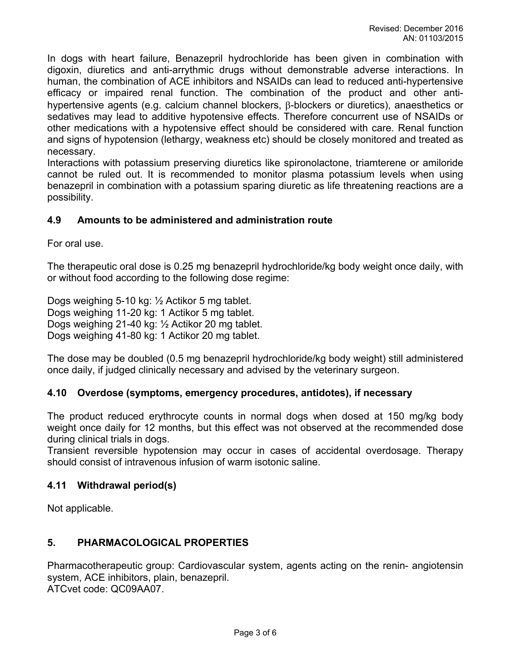In dogs with heart failure, Benazepril hydrochloride has been given in combination with digoxin, diuretics and anti-arrythmic drugs without demonstrable adverse interactions. In human, the combination of ACE inhibitors and NSAIDs can lead to reduced anti-hypertensive efficacy or impaired renal function. The combination of the product and other antihypertensive agents (e.g. calcium channel blockers,  $\beta$ -blockers or diuretics), anaesthetics or sedatives may lead to additive hypotensive effects. Therefore concurrent use of NSAIDs or other medications with a hypotensive effect should be considered with care. Renal function and signs of hypotension (lethargy, weakness etc) should be closely monitored and treated as necessary.

Interactions with potassium preserving diuretics like spironolactone, triamterene or amiloride cannot be ruled out. It is recommended to monitor plasma potassium levels when using benazepril in combination with a potassium sparing diuretic as life threatening reactions are a possibility.

### **4.9 Amounts to be administered and administration route**

For oral use.

The therapeutic oral dose is 0.25 mg benazepril hydrochloride/kg body weight once daily, with or without food according to the following dose regime:

Dogs weighing 5-10 kg: ½ Actikor 5 mg tablet. Dogs weighing 11-20 kg: 1 Actikor 5 mg tablet. Dogs weighing 21-40 kg: ½ Actikor 20 mg tablet. Dogs weighing 41-80 kg: 1 Actikor 20 mg tablet.

The dose may be doubled (0.5 mg benazepril hydrochloride/kg body weight) still administered once daily, if judged clinically necessary and advised by the veterinary surgeon.

#### **4.10 Overdose (symptoms, emergency procedures, antidotes), if necessary**

The product reduced erythrocyte counts in normal dogs when dosed at 150 mg/kg body weight once daily for 12 months, but this effect was not observed at the recommended dose during clinical trials in dogs.

Transient reversible hypotension may occur in cases of accidental overdosage. Therapy should consist of intravenous infusion of warm isotonic saline.

#### **4.11 Withdrawal period(s)**

Not applicable.

### **5. PHARMACOLOGICAL PROPERTIES**

Pharmacotherapeutic group: Cardiovascular system, agents acting on the renin- angiotensin system, ACE inhibitors, plain, benazepril. ATCvet code: QC09AA07.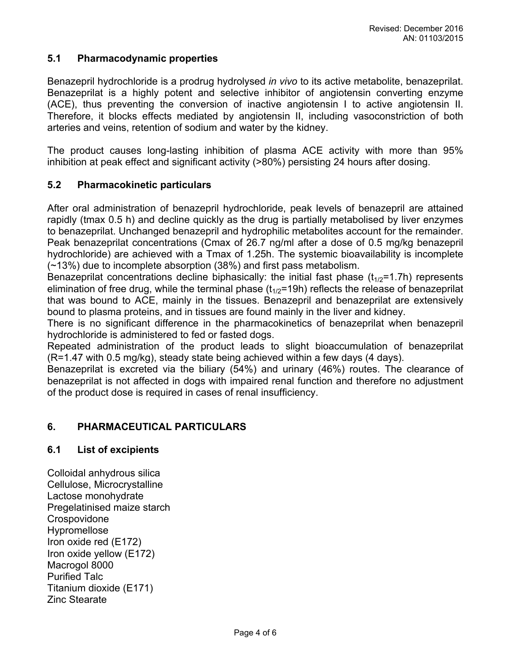# **5.1 Pharmacodynamic properties**

Benazepril hydrochloride is a prodrug hydrolysed *in vivo* to its active metabolite, benazeprilat. Benazeprilat is a highly potent and selective inhibitor of angiotensin converting enzyme (ACE), thus preventing the conversion of inactive angiotensin I to active angiotensin II. Therefore, it blocks effects mediated by angiotensin II, including vasoconstriction of both arteries and veins, retention of sodium and water by the kidney.

The product causes long-lasting inhibition of plasma ACE activity with more than 95% inhibition at peak effect and significant activity (>80%) persisting 24 hours after dosing.

# **5.2 Pharmacokinetic particulars**

After oral administration of benazepril hydrochloride, peak levels of benazepril are attained rapidly (tmax 0.5 h) and decline quickly as the drug is partially metabolised by liver enzymes to benazeprilat. Unchanged benazepril and hydrophilic metabolites account for the remainder. Peak benazeprilat concentrations (Cmax of 26.7 ng/ml after a dose of 0.5 mg/kg benazepril hydrochloride) are achieved with a Tmax of 1.25h. The systemic bioavailability is incomplete (~13%) due to incomplete absorption (38%) and first pass metabolism.

Benazeprilat concentrations decline biphasically: the initial fast phase  $(t_{1/2}=1.7h)$  represents elimination of free drug, while the terminal phase  $(t_{1/2}=19h)$  reflects the release of benazeprilat that was bound to ACE, mainly in the tissues. Benazepril and benazeprilat are extensively bound to plasma proteins, and in tissues are found mainly in the liver and kidney.

There is no significant difference in the pharmacokinetics of benazeprilat when benazepril hydrochloride is administered to fed or fasted dogs.

Repeated administration of the product leads to slight bioaccumulation of benazeprilat (R=1.47 with 0.5 mg/kg), steady state being achieved within a few days (4 days).

Benazeprilat is excreted via the biliary (54%) and urinary (46%) routes. The clearance of benazeprilat is not affected in dogs with impaired renal function and therefore no adjustment of the product dose is required in cases of renal insufficiency.

### **6. PHARMACEUTICAL PARTICULARS**

### **6.1 List of excipients**

Colloidal anhydrous silica Cellulose, Microcrystalline Lactose monohydrate Pregelatinised maize starch **Crospovidone** Hypromellose Iron oxide red (E172) Iron oxide yellow (E172) Macrogol 8000 Purified Talc Titanium dioxide (E171) Zinc Stearate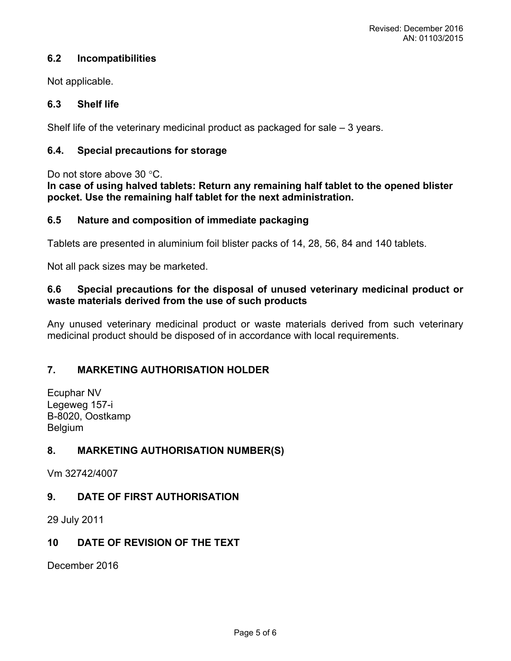# **6.2 Incompatibilities**

Not applicable.

# **6.3 Shelf life**

Shelf life of the veterinary medicinal product as packaged for sale  $-3$  years.

# **6.4. Special precautions for storage**

Do not store above 30 °C.

**In case of using halved tablets: Return any remaining half tablet to the opened blister pocket. Use the remaining half tablet for the next administration.**

### **6.5 Nature and composition of immediate packaging**

Tablets are presented in aluminium foil blister packs of 14, 28, 56, 84 and 140 tablets.

Not all pack sizes may be marketed.

## **6.6 Special precautions for the disposal of unused veterinary medicinal product or waste materials derived from the use of such products**

Any unused veterinary medicinal product or waste materials derived from such veterinary medicinal product should be disposed of in accordance with local requirements.

# **7. MARKETING AUTHORISATION HOLDER**

Ecuphar NV Legeweg 157-i B-8020, Oostkamp **Belgium** 

# **8. MARKETING AUTHORISATION NUMBER(S)**

Vm 32742/4007

# **9. DATE OF FIRST AUTHORISATION**

29 July 2011

# **10 DATE OF REVISION OF THE TEXT**

December 2016